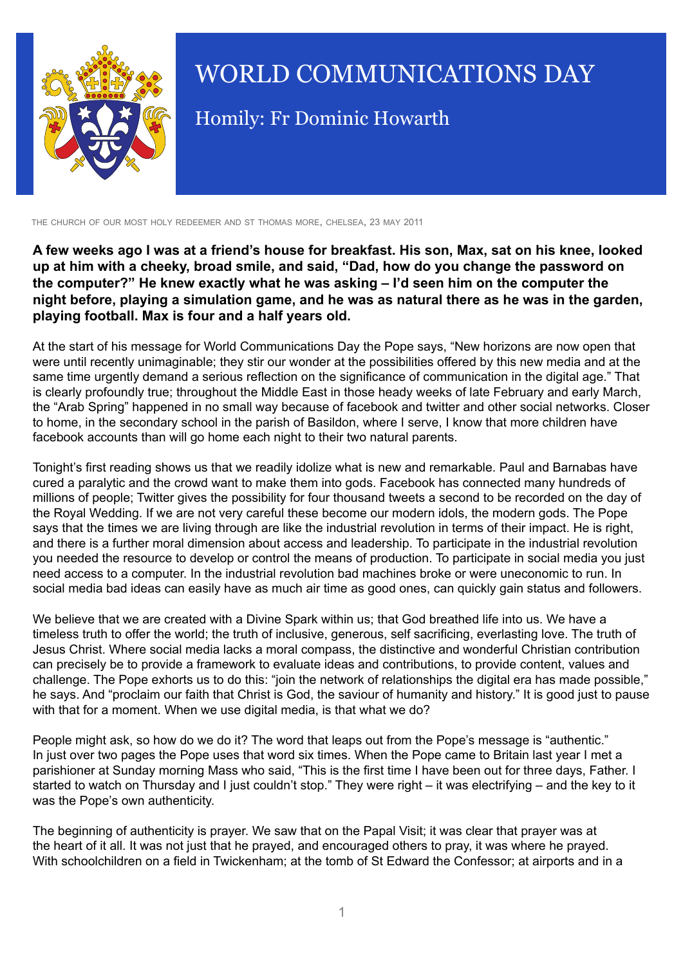

## WORLD COMMUNICATIONS DAY

Homily: Fr Dominic Howarth

the church of our most holy redeemer and st thomas more, chelsea, 23 may 2011

**A few weeks ago I was at a friend's house for breakfast. His son, Max, sat on his knee, looked up at him with a cheeky, broad smile, and said, "Dad, how do you change the password on the computer?" He knew exactly what he was asking – I'd seen him on the computer the night before, playing a simulation game, and he was as natural there as he was in the garden, playing football. Max is four and a half years old.**

At the start of his message for World Communications Day the Pope says, "New horizons are now open that were until recently unimaginable; they stir our wonder at the possibilities offered by this new media and at the same time urgently demand a serious reflection on the significance of communication in the digital age." That is clearly profoundly true; throughout the Middle East in those heady weeks of late February and early March, the "Arab Spring" happened in no small way because of facebook and twitter and other social networks. Closer to home, in the secondary school in the parish of Basildon, where I serve, I know that more children have facebook accounts than will go home each night to their two natural parents.

Tonight's first reading shows us that we readily idolize what is new and remarkable. Paul and Barnabas have cured a paralytic and the crowd want to make them into gods. Facebook has connected many hundreds of millions of people; Twitter gives the possibility for four thousand tweets a second to be recorded on the day of the Royal Wedding. If we are not very careful these become our modern idols, the modern gods. The Pope says that the times we are living through are like the industrial revolution in terms of their impact. He is right, and there is a further moral dimension about access and leadership. To participate in the industrial revolution you needed the resource to develop or control the means of production. To participate in social media you just need access to a computer. In the industrial revolution bad machines broke or were uneconomic to run. In social media bad ideas can easily have as much air time as good ones, can quickly gain status and followers.

We believe that we are created with a Divine Spark within us; that God breathed life into us. We have a timeless truth to offer the world; the truth of inclusive, generous, self sacrificing, everlasting love. The truth of Jesus Christ. Where social media lacks a moral compass, the distinctive and wonderful Christian contribution can precisely be to provide a framework to evaluate ideas and contributions, to provide content, values and challenge. The Pope exhorts us to do this: "join the network of relationships the digital era has made possible," he says. And "proclaim our faith that Christ is God, the saviour of humanity and history." It is good just to pause with that for a moment. When we use digital media, is that what we do?

People might ask, so how do we do it? The word that leaps out from the Pope's message is "authentic." In just over two pages the Pope uses that word six times. When the Pope came to Britain last year I met a parishioner at Sunday morning Mass who said, "This is the first time I have been out for three days, Father. I started to watch on Thursday and I just couldn't stop." They were right – it was electrifying – and the key to it was the Pope's own authenticity.

The beginning of authenticity is prayer. We saw that on the Papal Visit; it was clear that prayer was at the heart of it all. It was not just that he prayed, and encouraged others to pray, it was where he prayed. With schoolchildren on a field in Twickenham; at the tomb of St Edward the Confessor; at airports and in a